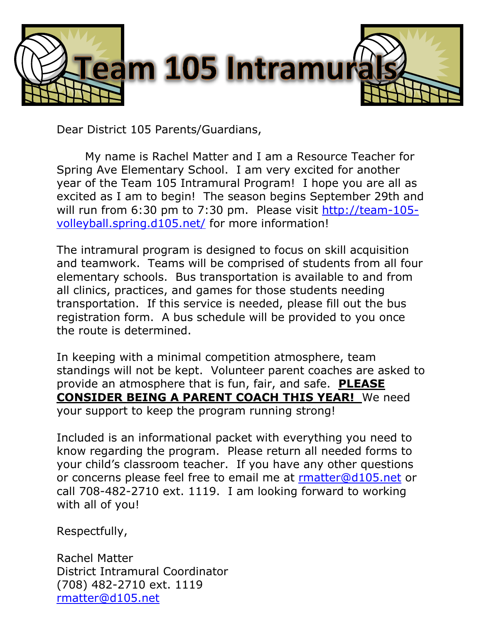

Dear District 105 Parents/Guardians,

My name is Rachel Matter and I am a Resource Teacher for Spring Ave Elementary School. I am very excited for another year of the Team 105 Intramural Program! I hope you are all as excited as I am to begin! The season begins September 29th and will run from 6:30 pm to 7:30 pm. Please visit [http://team-105](http://team-105-volleyball.spring.d105.net/) [volleyball.spring.d105.net/](http://team-105-volleyball.spring.d105.net/) for more information!

The intramural program is designed to focus on skill acquisition and teamwork. Teams will be comprised of students from all four elementary schools. Bus transportation is available to and from all clinics, practices, and games for those students needing transportation. If this service is needed, please fill out the bus registration form. A bus schedule will be provided to you once the route is determined.

In keeping with a minimal competition atmosphere, team standings will not be kept. Volunteer parent coaches are asked to provide an atmosphere that is fun, fair, and safe. **PLEASE CONSIDER BEING A PARENT COACH THIS YEAR!** We need your support to keep the program running strong!

Included is an informational packet with everything you need to know regarding the program. Please return all needed forms to your child's classroom teacher. If you have any other questions or concerns please feel free to email me at [rmatter@d105.net](mailto:rmatter@d105.net) or call 708-482-2710 ext. 1119. I am looking forward to working with all of you!

Respectfully,

Rachel Matter District Intramural Coordinator (708) 482-2710 ext. 1119 [rmatter@d105.net](mailto:rmatter@d105.net)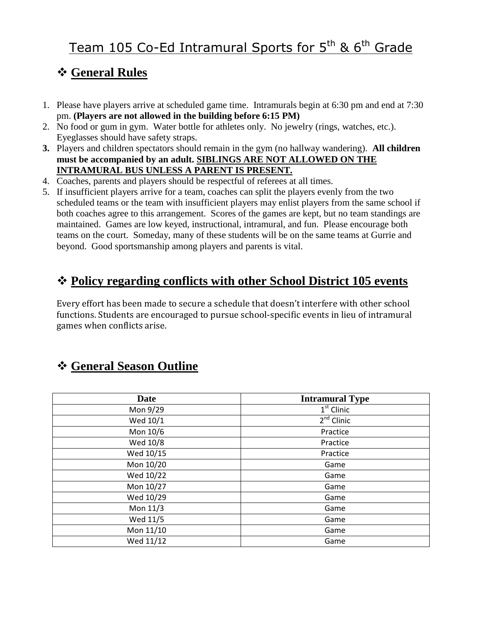# Team 105 Co-Ed Intramural Sports for 5<sup>th</sup> & 6<sup>th</sup> Grade

# **General Rules**

- 1. Please have players arrive at scheduled game time. Intramurals begin at 6:30 pm and end at 7:30 pm. **(Players are not allowed in the building before 6:15 PM)**
- 2. No food or gum in gym. Water bottle for athletes only. No jewelry (rings, watches, etc.). Eyeglasses should have safety straps.
- **3.** Players and children spectators should remain in the gym (no hallway wandering). **All children must be accompanied by an adult. SIBLINGS ARE NOT ALLOWED ON THE INTRAMURAL BUS UNLESS A PARENT IS PRESENT.**
- 4. Coaches, parents and players should be respectful of referees at all times.
- 5. If insufficient players arrive for a team, coaches can split the players evenly from the two scheduled teams or the team with insufficient players may enlist players from the same school if both coaches agree to this arrangement. Scores of the games are kept, but no team standings are maintained. Games are low keyed, instructional, intramural, and fun. Please encourage both teams on the court. Someday, many of these students will be on the same teams at Gurrie and beyond. Good sportsmanship among players and parents is vital.

# **Policy regarding conflicts with other School District 105 events**

Every effort has been made to secure a schedule that doesn't interfere with other school functions. Students are encouraged to pursue school-specific events in lieu of intramural games when conflicts arise.

# **General Season Outline**

| Date      | <b>Intramural Type</b> |
|-----------|------------------------|
| Mon 9/29  | $1st$ Clinic           |
| Wed 10/1  | $2nd$ Clinic           |
| Mon 10/6  | Practice               |
| Wed 10/8  | Practice               |
| Wed 10/15 | Practice               |
| Mon 10/20 | Game                   |
| Wed 10/22 | Game                   |
| Mon 10/27 | Game                   |
| Wed 10/29 | Game                   |
| Mon 11/3  | Game                   |
| Wed 11/5  | Game                   |
| Mon 11/10 | Game                   |
| Wed 11/12 | Game                   |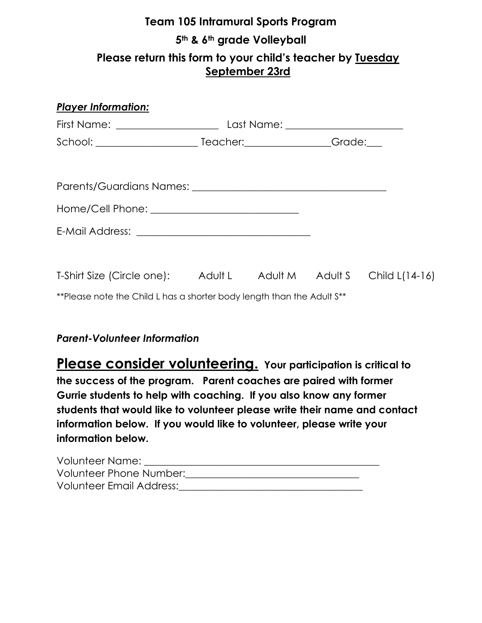# **Team 105 Intramural Sports Program 5th & 6th grade Volleyball Please return this form to your child's teacher by Tuesday September 23rd**

| <b>Player Information:</b>                                              |  |  |
|-------------------------------------------------------------------------|--|--|
|                                                                         |  |  |
|                                                                         |  |  |
|                                                                         |  |  |
|                                                                         |  |  |
|                                                                         |  |  |
|                                                                         |  |  |
|                                                                         |  |  |
| T-Shirt Size (Circle one): Adult L Adult M Adult S Child L(14-16)       |  |  |
| ** Please note the Child L has a shorter body length than the Adult S** |  |  |
|                                                                         |  |  |

### *Parent-Volunteer Information*

**Please consider volunteering. Your participation is critical to the success of the program. Parent coaches are paired with former Gurrie students to help with coaching. If you also know any former students that would like to volunteer please write their name and contact information below. If you would like to volunteer, please write your information below.**

| Volunteer Name:          |  |
|--------------------------|--|
| Volunteer Phone Number:  |  |
| Volunteer Email Address: |  |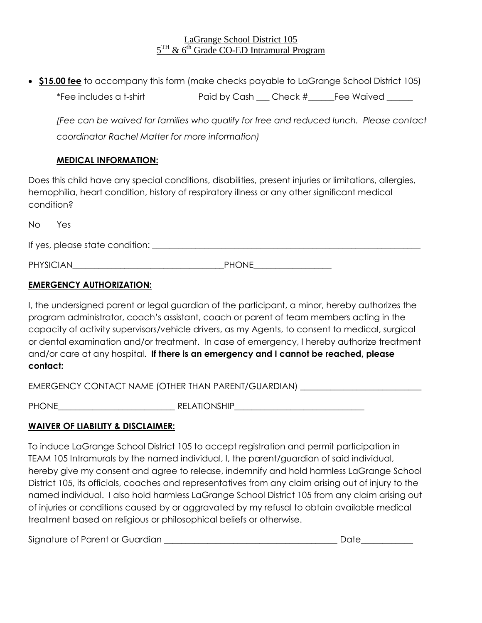#### LaGrange School District 105  $5<sup>TH</sup>$  & 6<sup>th</sup> Grade CO-ED Intramural Program

 **\$15.00 fee** to accompany this form (make checks payable to LaGrange School District 105) \*Fee includes a t-shirt **Paid by Cash** Check # Fee Waived

*(Fee can be waived for families who qualify for free and reduced lunch. Please contact coordinator Rachel Matter for more information)*

#### **MEDICAL INFORMATION:**

Does this child have any special conditions, disabilities, present injuries or limitations, allergies, hemophilia, heart condition, history of respiratory illness or any other significant medical condition?

| <b>No</b><br>Yes                |              |
|---------------------------------|--------------|
| If yes, please state condition: |              |
| <b>PHYSICIAN</b>                | <b>PHONE</b> |

### **EMERGENCY AUTHORIZATION:**

I, the undersigned parent or legal guardian of the participant, a minor, hereby authorizes the program administrator, coach's assistant, coach or parent of team members acting in the capacity of activity supervisors/vehicle drivers, as my Agents, to consent to medical, surgical or dental examination and/or treatment. In case of emergency, I hereby authorize treatment and/or care at any hospital. **If there is an emergency and I cannot be reached, please contact:**

EMERGENCY CONTACT NAME (OTHER THAN PARENT/GUARDIAN)

PHONE\_\_\_\_\_\_\_\_\_\_\_\_\_\_\_\_\_\_\_\_\_\_\_\_\_\_\_ RELATIONSHIP\_\_\_\_\_\_\_\_\_\_\_\_\_\_\_\_\_\_\_\_\_\_\_\_\_\_\_\_\_\_

#### **WAIVER OF LIABILITY & DISCLAIMER:**

To induce LaGrange School District 105 to accept registration and permit participation in TEAM 105 Intramurals by the named individual, I, the parent/guardian of said individual, hereby give my consent and agree to release, indemnify and hold harmless LaGrange School District 105, its officials, coaches and representatives from any claim arising out of injury to the named individual. I also hold harmless LaGrange School District 105 from any claim arising out of injuries or conditions caused by or aggravated by my refusal to obtain available medical treatment based on religious or philosophical beliefs or otherwise.

| Signature of Parent or Guardian |  |
|---------------------------------|--|
|---------------------------------|--|